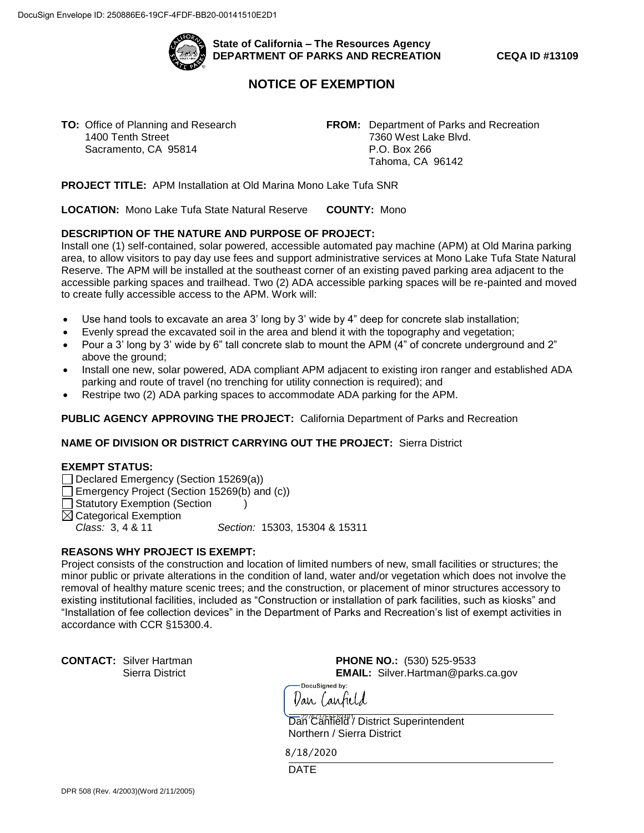

**State of California – The Resources Agency DEPARTMENT OF PARKS AND RECREATION CEQA ID #13109** 

# **NOTICE OF EXEMPTION**

1400 Tenth Street 7360 West Lake Blvd. Sacramento, CA 95814 P.O. Box 266

 Tahoma, CA 96142 **TO:** Office of Planning and Research **FROM:** Department of Parks and Recreation

 **PROJECT TITLE:** APM Installation at Old Marina Mono Lake Tufa SNR

 **LOCATION:** Mono Lake Tufa State Natural Reserve **COUNTY:** Mono

#### **DESCRIPTION OF THE NATURE AND PURPOSE OF PROJECT:**

 area, to allow visitors to pay day use fees and support administrative services at Mono Lake Tufa State Natural Install one (1) self-contained, solar powered, accessible automated pay machine (APM) at Old Marina parking Reserve. The APM will be installed at the southeast corner of an existing paved parking area adjacent to the accessible parking spaces and trailhead. Two (2) ADA accessible parking spaces will be re-painted and moved to create fully accessible access to the APM. Work will:

- Use hand tools to excavate an area 3' long by 3' wide by 4" deep for concrete slab installation;
- Evenly spread the excavated soil in the area and blend it with the topography and vegetation;
- Pour a 3' long by 3' wide by 6" tall concrete slab to mount the APM (4" of concrete underground and 2" above the ground;
- Install one new, solar powered, ADA compliant APM adjacent to existing iron ranger and established ADA parking and route of travel (no trenching for utility connection is required); and
- Restripe two (2) ADA parking spaces to accommodate ADA parking for the APM.

 **PUBLIC AGENCY APPROVING THE PROJECT:** California Department of Parks and Recreation

#### **NAME OF DIVISION OR DISTRICT CARRYING OUT THE PROJECT:** Sierra District

#### **EXEMPT STATUS:**

- Declared Emergency (Section 15269(a))
- Emergency Project (Section 15269(b) and (c))
- $\Box$  Statutory Exemption (Section )

 $\boxtimes$  Categorical Exemption

*Class:* 3, 4 & 11 *Section:* 15303, 15304 & 15311

### **REASONS WHY PROJECT IS EXEMPT:**

Project consists of the construction and location of limited numbers of new, small facilities or structures; the minor public or private alterations in the condition of land, water and/or vegetation which does not involve the removal of healthy mature scenic trees; and the construction, or placement of minor structures accessory to existing institutional facilities, included as "Construction or installation of park facilities, such as kiosks" and "Installation of fee collection devices" in the Department of Parks and Recreation's list of exempt activities in accordance with CCR §15300.4.

 **CONTACT:** Silver Hartman **PHONE NO.:** (530) 525-9533  Sierra District **EMAIL:** [Silver.Hartman@parks.ca.gov](mailto:Silver.Hartman@parks.ca.gov)

DocuSianed by: *Van Canfield* 

Dan<sup>227</sup>Canfield / District Superintendent Northern / Sierra District

8/18/2020

**DATE**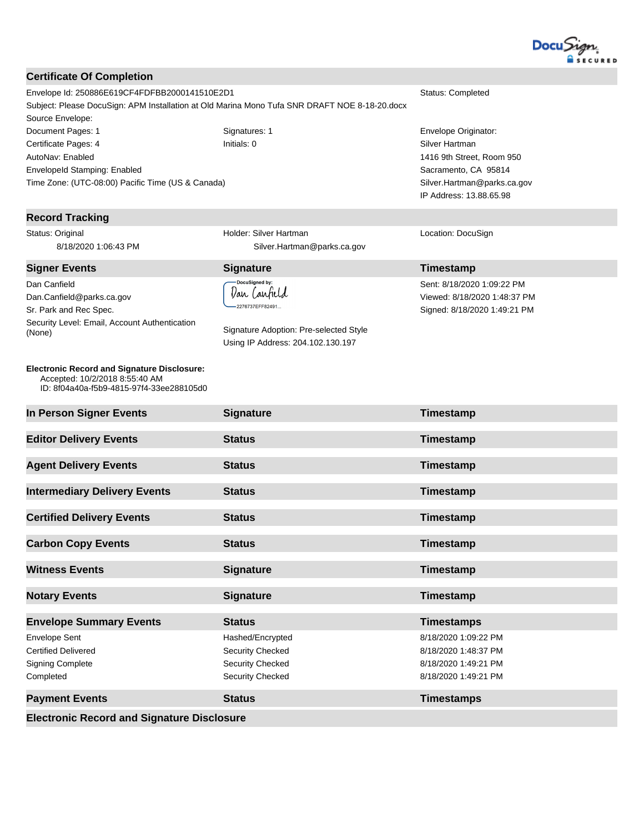

### **Certificate Of Completion** Envelope Id: 250886E619CF4FDFBB2000141510E2D1 Status: Completed Subject: Please DocuSign: APM Installation at Old Marina Mono Tufa SNR DRAFT NOE 8-18-20.docx Source Envelope: Document Pages: 1 **Signatures: 1** Signatures: 1 **Envelope Originator: Envelope Originator:** Certificate Pages: 4 Initials: 0 Silver Hartman AutoNav: Enabled 1416 9th Street, Room 950 EnvelopeId Stamping: Enabled Sacramento, CA 95814 Time Zone: (UTC-08:00) Pacific Time (US & Canada) Silver.Hartman@parks.ca.gov IP Address: 13.88.65.98 **Record Tracking** Status: Original Holder: Silver Hartman Location: DocuSign 8/18/2020 1:06:43 PM Silver.Hartman@parks.ca.gov **Signer Events Signature Timestamp** Sent: 8/18/2020 1:09:22 PM Dan Canfield Dan Canfield Dan.Canfield@parks.ca.gov Viewed: 8/18/2020 1:48:37 PM -<br>2276737EFF82491... Sr. Park and Rec Spec. Signed: 8/18/2020 1:49:21 PM Security Level: Email, Account Authentication Signature Adoption: Pre-selected Style (None) Using IP Address: 204.102.130.197 **Electronic Record and Signature Disclosure:**  Accepted: 10/2/2018 8:55:40 AM ID: 8f04a40a-f5b9-4815-97f4-33ee288105d0 **In Person Signer Events Signature Construction Signature Timestamp Editor Delivery Events Status Constanting Status Timestamp Agent Delivery Events Status Constanting Constanting Constanting Constanting Constanting Constanting Constanting Constanting Constanting Constanting Constanting Constanting Constanting Constanting Constanting Constant Intermediary Delivery Events Status Timestamp Certified Delivery Events Status Certified Delivery Events Timestamp Carbon Copy Events Status Timestamp Witness Events Signature Construction Systems Timestamp Notary Events Signature Signature Timestamp Envelope Summary Events Status Timestamps** Envelope Sent Hashed/Encrypted 8/18/2020 1:09:22 PM Certified Delivered Security Checked 8/18/2020 1:48:37 PM Signing Complete Security Checked Security Checked 8/18/2020 1:49:21 PM Completed Security Checked 8/18/2020 1:49:21 PM **Payment Events Status Timestamps**

**Electronic Record and Signature Disclosure**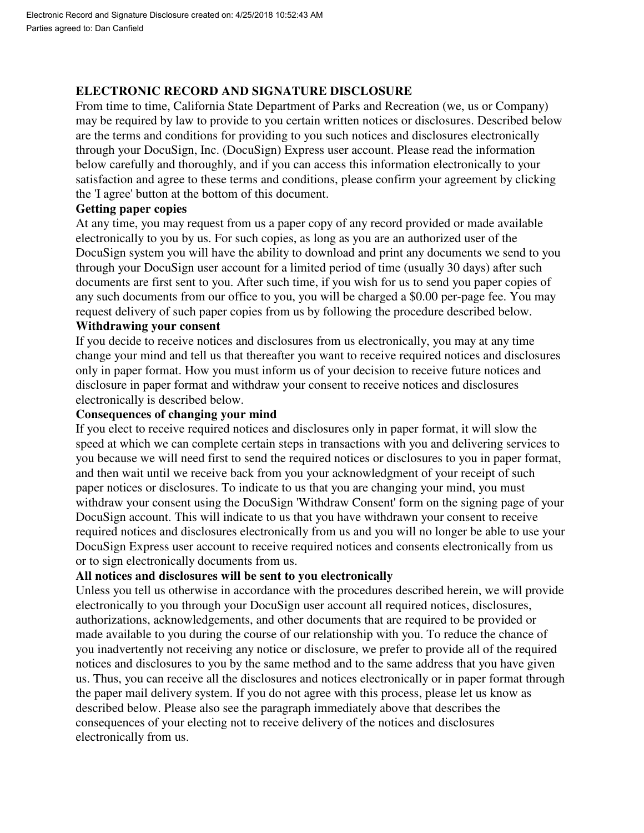# **ELECTRONIC RECORD AND SIGNATURE DISCLOSURE**

 From time to time, California State Department of Parks and Recreation (we, us or Company) may be required by law to provide to you certain written notices or disclosures. Described below are the terms and conditions for providing to you such notices and disclosures electronically through your DocuSign, Inc. (DocuSign) Express user account. Please read the information below carefully and thoroughly, and if you can access this information electronically to your satisfaction and agree to these terms and conditions, please confirm your agreement by clicking the 'I agree' button at the bottom of this document.

### **Getting paper copies**

 At any time, you may request from us a paper copy of any record provided or made available electronically to you by us. For such copies, as long as you are an authorized user of the DocuSign system you will have the ability to download and print any documents we send to you through your DocuSign user account for a limited period of time (usually 30 days) after such documents are first sent to you. After such time, if you wish for us to send you paper copies of any such documents from our office to you, you will be charged a \$0.00 per-page fee. You may request delivery of such paper copies from us by following the procedure described below.

### **Withdrawing your consent**

 If you decide to receive notices and disclosures from us electronically, you may at any time change your mind and tell us that thereafter you want to receive required notices and disclosures only in paper format. How you must inform us of your decision to receive future notices and disclosure in paper format and withdraw your consent to receive notices and disclosures electronically is described below.

# **Consequences of changing your mind**

 If you elect to receive required notices and disclosures only in paper format, it will slow the speed at which we can complete certain steps in transactions with you and delivering services to you because we will need first to send the required notices or disclosures to you in paper format, and then wait until we receive back from you your acknowledgment of your receipt of such paper notices or disclosures. To indicate to us that you are changing your mind, you must withdraw your consent using the DocuSign 'Withdraw Consent' form on the signing page of your DocuSign account. This will indicate to us that you have withdrawn your consent to receive required notices and disclosures electronically from us and you will no longer be able to use your DocuSign Express user account to receive required notices and consents electronically from us or to sign electronically documents from us.

# **All notices and disclosures will be sent to you electronically**

 Unless you tell us otherwise in accordance with the procedures described herein, we will provide electronically to you through your DocuSign user account all required notices, disclosures, authorizations, acknowledgements, and other documents that are required to be provided or made available to you during the course of our relationship with you. To reduce the chance of you inadvertently not receiving any notice or disclosure, we prefer to provide all of the required notices and disclosures to you by the same method and to the same address that you have given us. Thus, you can receive all the disclosures and notices electronically or in paper format through the paper mail delivery system. If you do not agree with this process, please let us know as described below. Please also see the paragraph immediately above that describes the consequences of your electing not to receive delivery of the notices and disclosures electronically from us.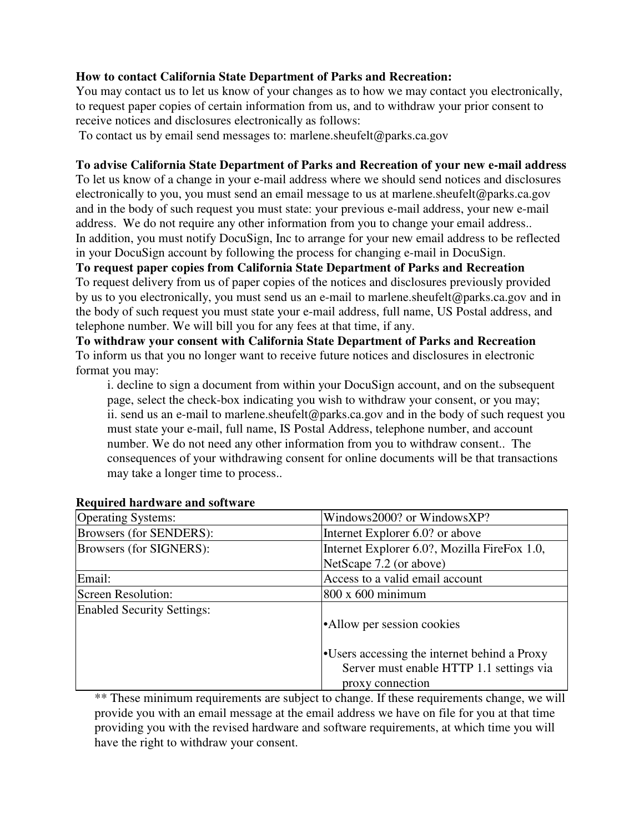# **How to contact California State Department of Parks and Recreation:**

 You may contact us to let us know of your changes as to how we may contact you electronically, to request paper copies of certain information from us, and to withdraw your prior consent to receive notices and disclosures electronically as follows:

To contact us by email send messages to: [marlene.sheufelt@parks.ca.gov](mailto:marlene.sheufelt@parks.ca.gov)

# **To advise California State Department of Parks and Recreation of your new e-mail address**

 To let us know of a change in your e-mail address where we should send notices and disclosures electronically to you, you must send an email message to us at [marlene.sheufelt@parks.ca.gov](mailto:marlene.sheufelt@parks.ca.gov)  and in the body of such request you must state: your previous e-mail address, your new e-mail address. We do not require any other information from you to change your email address.. In addition, you must notify DocuSign, Inc to arrange for your new email address to be reflected in your DocuSign account by following the process for changing e-mail in DocuSign.

# **To request paper copies from California State Department of Parks and Recreation**

 To request delivery from us of paper copies of the notices and disclosures previously provided by us to you electronically, you must send us an e-mail to [marlene.sheufelt@parks.ca.gov](mailto:marlene.sheufelt@parks.ca.gov) and in the body of such request you must state your e-mail address, full name, US Postal address, and telephone number. We will bill you for any fees at that time, if any.

 **To withdraw your consent with California State Department of Parks and Recreation**  To inform us that you no longer want to receive future notices and disclosures in electronic format you may:

 i. decline to sign a document from within your DocuSign account, and on the subsequent page, select the check-box indicating you wish to withdraw your consent, or you may; ii. send us an e-mail to [marlene.sheufelt@parks.ca.gov](mailto:marlene.sheufelt@parks.ca.gov) and in the body of such request you must state your e-mail, full name, IS Postal Address, telephone number, and account number. We do not need any other information from you to withdraw consent.. The consequences of your withdrawing consent for online documents will be that transactions may take a longer time to process..

| <b>Operating Systems:</b>         | Windows2000? or WindowsXP?                   |
|-----------------------------------|----------------------------------------------|
| Browsers (for SENDERS):           | Internet Explorer 6.0? or above              |
| Browsers (for SIGNERS):           | Internet Explorer 6.0?, Mozilla FireFox 1.0, |
|                                   | NetScape 7.2 (or above)                      |
| Email:                            | Access to a valid email account              |
| <b>Screen Resolution:</b>         | $800 \times 600$ minimum                     |
| <b>Enabled Security Settings:</b> |                                              |
|                                   | •Allow per session cookies                   |
|                                   |                                              |
|                                   | •Users accessing the internet behind a Proxy |
|                                   | Server must enable HTTP 1.1 settings via     |
|                                   | proxy connection                             |

# **Required hardware and software**

 \*\* These minimum requirements are subject to change. If these requirements change, we will provide you with an email message at the email address we have on file for you at that time providing you with the revised hardware and software requirements, at which time you will have the right to withdraw your consent.